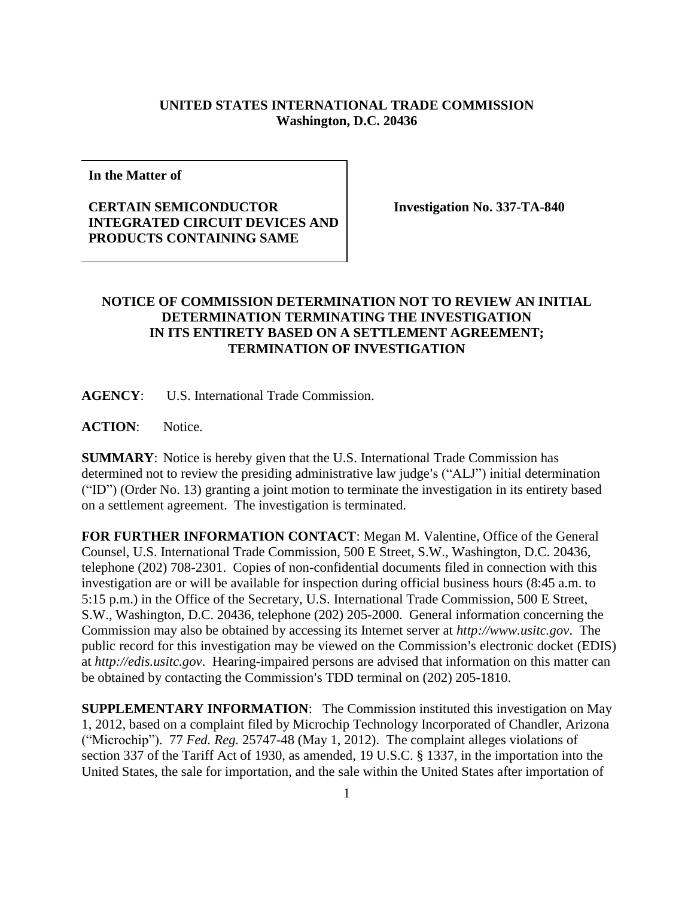## **UNITED STATES INTERNATIONAL TRADE COMMISSION Washington, D.C. 20436**

**In the Matter of**

## **CERTAIN SEMICONDUCTOR INTEGRATED CIRCUIT DEVICES AND PRODUCTS CONTAINING SAME**

**Investigation No. 337-TA-840**

## **NOTICE OF COMMISSION DETERMINATION NOT TO REVIEW AN INITIAL DETERMINATION TERMINATING THE INVESTIGATION IN ITS ENTIRETY BASED ON A SETTLEMENT AGREEMENT; TERMINATION OF INVESTIGATION**

**AGENCY**: U.S. International Trade Commission.

**ACTION**: Notice.

**SUMMARY**: Notice is hereby given that the U.S. International Trade Commission has determined not to review the presiding administrative law judge's ("ALJ") initial determination ("ID") (Order No. 13) granting a joint motion to terminate the investigation in its entirety based on a settlement agreement. The investigation is terminated.

**FOR FURTHER INFORMATION CONTACT**: Megan M. Valentine, Office of the General Counsel, U.S. International Trade Commission, 500 E Street, S.W., Washington, D.C. 20436, telephone (202) 708-2301. Copies of non-confidential documents filed in connection with this investigation are or will be available for inspection during official business hours (8:45 a.m. to 5:15 p.m.) in the Office of the Secretary, U.S. International Trade Commission, 500 E Street, S.W., Washington, D.C. 20436, telephone (202) 205-2000. General information concerning the Commission may also be obtained by accessing its Internet server at *http://www.usitc.gov*. The public record for this investigation may be viewed on the Commission's electronic docket (EDIS) at *http://edis.usitc.gov*. Hearing-impaired persons are advised that information on this matter can be obtained by contacting the Commission's TDD terminal on (202) 205-1810.

**SUPPLEMENTARY INFORMATION**: The Commission instituted this investigation on May 1, 2012, based on a complaint filed by Microchip Technology Incorporated of Chandler, Arizona ("Microchip"). 77 *Fed. Reg.* 25747-48 (May 1, 2012). The complaint alleges violations of section 337 of the Tariff Act of 1930, as amended, 19 U.S.C. § 1337, in the importation into the United States, the sale for importation, and the sale within the United States after importation of